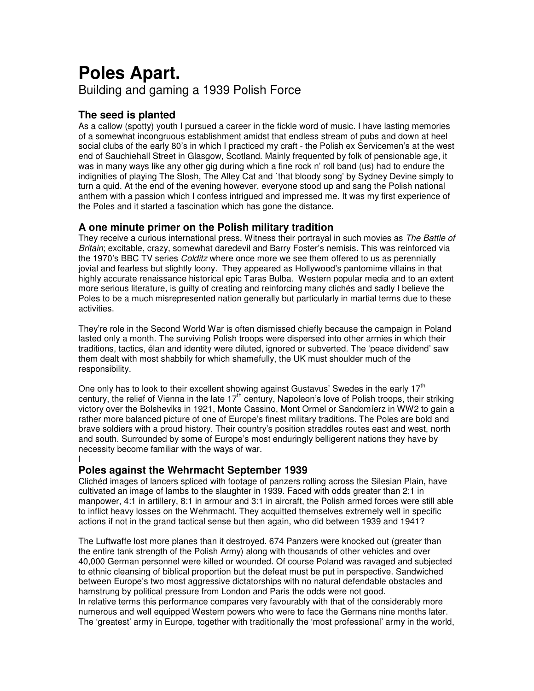# **Poles Apart.** Building and gaming a 1939 Polish Force

# **The seed is planted**

As a callow (spotty) youth I pursued a career in the fickle word of music. I have lasting memories of a somewhat incongruous establishment amidst that endless stream of pubs and down at heel social clubs of the early 80's in which I practiced my craft - the Polish ex Servicemen's at the west end of Sauchiehall Street in Glasgow, Scotland. Mainly frequented by folk of pensionable age, it was in many ways like any other gig during which a fine rock n' roll band (us) had to endure the indignities of playing The Slosh, The Alley Cat and `that bloody song' by Sydney Devine simply to turn a quid. At the end of the evening however, everyone stood up and sang the Polish national anthem with a passion which I confess intrigued and impressed me. It was my first experience of the Poles and it started a fascination which has gone the distance.

# **A one minute primer on the Polish military tradition**

They receive a curious international press. Witness their portrayal in such movies as *The Battle of Britain*; excitable, crazy, somewhat daredevil and Barry Foster's nemisis. This was reinforced via the 1970's BBC TV series *Colditz* where once more we see them offered to us as perennially jovial and fearless but slightly loony. They appeared as Hollywood's pantomime villains in that highly accurate renaissance historical epic Taras Bulba. Western popular media and to an extent more serious literature, is guilty of creating and reinforcing many clichés and sadly I believe the Poles to be a much misrepresented nation generally but particularly in martial terms due to these activities.

They're role in the Second World War is often dismissed chiefly because the campaign in Poland lasted only a month. The surviving Polish troops were dispersed into other armies in which their traditions, tactics, élan and identity were diluted, ignored or subverted. The 'peace dividend' saw them dealt with most shabbily for which shamefully, the UK must shoulder much of the responsibility.

One only has to look to their excellent showing against Gustavus' Swedes in the early 17<sup>th</sup> century, the relief of Vienna in the late 17<sup>th</sup> century, Napoleon's love of Polish troops, their striking victory over the Bolsheviks in 1921, Monte Cassino, Mont Ormel or Sandomíerz in WW2 to gain a rather more balanced picture of one of Europe's finest military traditions. The Poles are bold and brave soldiers with a proud history. Their country's position straddles routes east and west, north and south. Surrounded by some of Europe's most enduringly belligerent nations they have by necessity become familiar with the ways of war.

#### I **Poles against the Wehrmacht September 1939**

Clichéd images of lancers spliced with footage of panzers rolling across the Silesian Plain, have cultivated an image of lambs to the slaughter in 1939. Faced with odds greater than 2:1 in manpower, 4:1 in artillery, 8:1 in armour and 3:1 in aircraft, the Polish armed forces were still able to inflict heavy losses on the Wehrmacht. They acquitted themselves extremely well in specific actions if not in the grand tactical sense but then again, who did between 1939 and 1941?

The Luftwaffe lost more planes than it destroyed. 674 Panzers were knocked out (greater than the entire tank strength of the Polish Army) along with thousands of other vehicles and over 40,000 German personnel were killed or wounded. Of course Poland was ravaged and subjected to ethnic cleansing of biblical proportion but the defeat must be put in perspective. Sandwiched between Europe's two most aggressive dictatorships with no natural defendable obstacles and hamstrung by political pressure from London and Paris the odds were not good. In relative terms this performance compares very favourably with that of the considerably more numerous and well equipped Western powers who were to face the Germans nine months later. The 'greatest' army in Europe, together with traditionally the 'most professional' army in the world,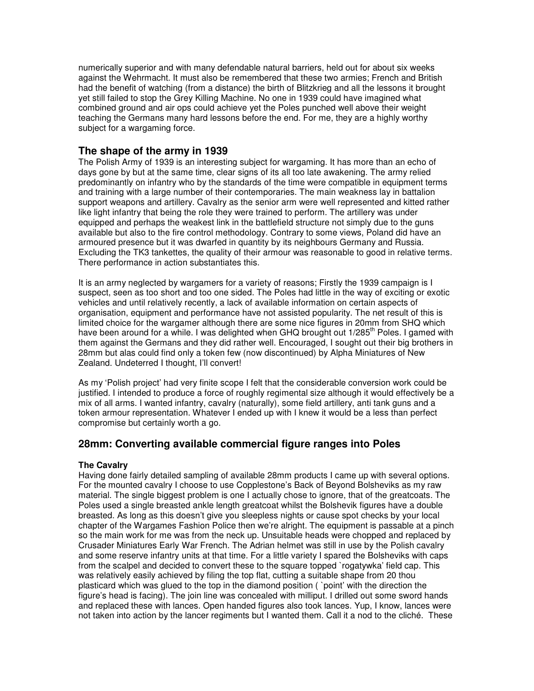numerically superior and with many defendable natural barriers, held out for about six weeks against the Wehrmacht. It must also be remembered that these two armies; French and British had the benefit of watching (from a distance) the birth of Blitzkrieg and all the lessons it brought yet still failed to stop the Grey Killing Machine. No one in 1939 could have imagined what combined ground and air ops could achieve yet the Poles punched well above their weight teaching the Germans many hard lessons before the end. For me, they are a highly worthy subject for a wargaming force.

# **The shape of the army in 1939**

The Polish Army of 1939 is an interesting subject for wargaming. It has more than an echo of days gone by but at the same time, clear signs of its all too late awakening. The army relied predominantly on infantry who by the standards of the time were compatible in equipment terms and training with a large number of their contemporaries. The main weakness lay in battalion support weapons and artillery. Cavalry as the senior arm were well represented and kitted rather like light infantry that being the role they were trained to perform. The artillery was under equipped and perhaps the weakest link in the battlefield structure not simply due to the guns available but also to the fire control methodology. Contrary to some views, Poland did have an armoured presence but it was dwarfed in quantity by its neighbours Germany and Russia. Excluding the TK3 tankettes, the quality of their armour was reasonable to good in relative terms. There performance in action substantiates this.

It is an army neglected by wargamers for a variety of reasons; Firstly the 1939 campaign is I suspect, seen as too short and too one sided. The Poles had little in the way of exciting or exotic vehicles and until relatively recently, a lack of available information on certain aspects of organisation, equipment and performance have not assisted popularity. The net result of this is limited choice for the wargamer although there are some nice figures in 20mm from SHQ which have been around for a while. I was delighted when GHQ brought out 1/285<sup>th</sup> Poles. I gamed with them against the Germans and they did rather well. Encouraged, I sought out their big brothers in 28mm but alas could find only a token few (now discontinued) by Alpha Miniatures of New Zealand. Undeterred I thought, I'll convert!

As my 'Polish project' had very finite scope I felt that the considerable conversion work could be justified. I intended to produce a force of roughly regimental size although it would effectively be a mix of all arms. I wanted infantry, cavalry (naturally), some field artillery, anti tank guns and a token armour representation. Whatever I ended up with I knew it would be a less than perfect compromise but certainly worth a go.

# **28mm: Converting available commercial figure ranges into Poles**

### **The Cavalry**

Having done fairly detailed sampling of available 28mm products I came up with several options. For the mounted cavalry I choose to use Copplestone's Back of Beyond Bolsheviks as my raw material. The single biggest problem is one I actually chose to ignore, that of the greatcoats. The Poles used a single breasted ankle length greatcoat whilst the Bolshevik figures have a double breasted. As long as this doesn't give you sleepless nights or cause spot checks by your local chapter of the Wargames Fashion Police then we're alright. The equipment is passable at a pinch so the main work for me was from the neck up. Unsuitable heads were chopped and replaced by Crusader Miniatures Early War French. The Adrian helmet was still in use by the Polish cavalry and some reserve infantry units at that time. For a little variety I spared the Bolsheviks with caps from the scalpel and decided to convert these to the square topped `rogatywka' field cap. This was relatively easily achieved by filing the top flat, cutting a suitable shape from 20 thou plasticard which was glued to the top in the diamond position ( `point' with the direction the figure's head is facing). The join line was concealed with milliput. I drilled out some sword hands and replaced these with lances. Open handed figures also took lances. Yup, I know, lances were not taken into action by the lancer regiments but I wanted them. Call it a nod to the cliché. These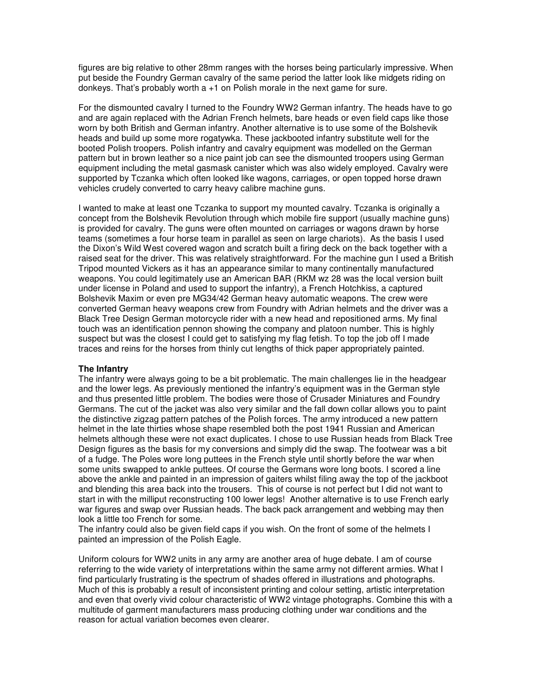figures are big relative to other 28mm ranges with the horses being particularly impressive. When put beside the Foundry German cavalry of the same period the latter look like midgets riding on donkeys. That's probably worth a +1 on Polish morale in the next game for sure.

For the dismounted cavalry I turned to the Foundry WW2 German infantry. The heads have to go and are again replaced with the Adrian French helmets, bare heads or even field caps like those worn by both British and German infantry. Another alternative is to use some of the Bolshevik heads and build up some more rogatywka. These jackbooted infantry substitute well for the booted Polish troopers. Polish infantry and cavalry equipment was modelled on the German pattern but in brown leather so a nice paint job can see the dismounted troopers using German equipment including the metal gasmask canister which was also widely employed. Cavalry were supported by Tczanka which often looked like wagons, carriages, or open topped horse drawn vehicles crudely converted to carry heavy calibre machine guns.

I wanted to make at least one Tczanka to support my mounted cavalry. Tczanka is originally a concept from the Bolshevik Revolution through which mobile fire support (usually machine guns) is provided for cavalry. The guns were often mounted on carriages or wagons drawn by horse teams (sometimes a four horse team in parallel as seen on large chariots). As the basis I used the Dixon's Wild West covered wagon and scratch built a firing deck on the back together with a raised seat for the driver. This was relatively straightforward. For the machine gun I used a British Tripod mounted Vickers as it has an appearance similar to many continentally manufactured weapons. You could legitimately use an American BAR (RKM wz 28 was the local version built under license in Poland and used to support the infantry), a French Hotchkiss, a captured Bolshevik Maxim or even pre MG34/42 German heavy automatic weapons. The crew were converted German heavy weapons crew from Foundry with Adrian helmets and the driver was a Black Tree Design German motorcycle rider with a new head and repositioned arms. My final touch was an identification pennon showing the company and platoon number. This is highly suspect but was the closest I could get to satisfying my flag fetish. To top the job off I made traces and reins for the horses from thinly cut lengths of thick paper appropriately painted.

#### **The Infantry**

The infantry were always going to be a bit problematic. The main challenges lie in the headgear and the lower legs. As previously mentioned the infantry's equipment was in the German style and thus presented little problem. The bodies were those of Crusader Miniatures and Foundry Germans. The cut of the jacket was also very similar and the fall down collar allows you to paint the distinctive zigzag pattern patches of the Polish forces. The army introduced a new pattern helmet in the late thirties whose shape resembled both the post 1941 Russian and American helmets although these were not exact duplicates. I chose to use Russian heads from Black Tree Design figures as the basis for my conversions and simply did the swap. The footwear was a bit of a fudge. The Poles wore long puttees in the French style until shortly before the war when some units swapped to ankle puttees. Of course the Germans wore long boots. I scored a line above the ankle and painted in an impression of gaiters whilst filing away the top of the jackboot and blending this area back into the trousers. This of course is not perfect but I did not want to start in with the milliput reconstructing 100 lower legs! Another alternative is to use French early war figures and swap over Russian heads. The back pack arrangement and webbing may then look a little too French for some.

The infantry could also be given field caps if you wish. On the front of some of the helmets I painted an impression of the Polish Eagle.

Uniform colours for WW2 units in any army are another area of huge debate. I am of course referring to the wide variety of interpretations within the same army not different armies. What I find particularly frustrating is the spectrum of shades offered in illustrations and photographs. Much of this is probably a result of inconsistent printing and colour setting, artistic interpretation and even that overly vivid colour characteristic of WW2 vintage photographs. Combine this with a multitude of garment manufacturers mass producing clothing under war conditions and the reason for actual variation becomes even clearer.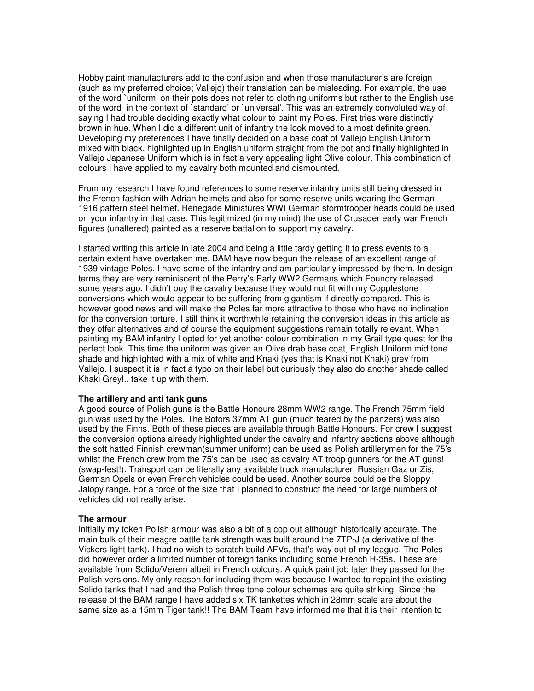Hobby paint manufacturers add to the confusion and when those manufacturer's are foreign (such as my preferred choice; Vallejo) their translation can be misleading. For example, the use of the word `uniform' on their pots does not refer to clothing uniforms but rather to the English use of the word in the context of `standard' or `universal'. This was an extremely convoluted way of saying I had trouble deciding exactly what colour to paint my Poles. First tries were distinctly brown in hue. When I did a different unit of infantry the look moved to a most definite green. Developing my preferences I have finally decided on a base coat of Vallejo English Uniform mixed with black, highlighted up in English uniform straight from the pot and finally highlighted in Vallejo Japanese Uniform which is in fact a very appealing light Olive colour. This combination of colours I have applied to my cavalry both mounted and dismounted.

From my research I have found references to some reserve infantry units still being dressed in the French fashion with Adrian helmets and also for some reserve units wearing the German 1916 pattern steel helmet. Renegade Miniatures WWI German stormtrooper heads could be used on your infantry in that case. This legitimized (in my mind) the use of Crusader early war French figures (unaltered) painted as a reserve battalion to support my cavalry.

I started writing this article in late 2004 and being a little tardy getting it to press events to a certain extent have overtaken me. BAM have now begun the release of an excellent range of 1939 vintage Poles. I have some of the infantry and am particularly impressed by them. In design terms they are very reminiscent of the Perry's Early WW2 Germans which Foundry released some years ago. I didn't buy the cavalry because they would not fit with my Copplestone conversions which would appear to be suffering from gigantism if directly compared. This is however good news and will make the Poles far more attractive to those who have no inclination for the conversion torture. I still think it worthwhile retaining the conversion ideas in this article as they offer alternatives and of course the equipment suggestions remain totally relevant. When painting my BAM infantry I opted for yet another colour combination in my Grail type quest for the perfect look. This time the uniform was given an Olive drab base coat, English Uniform mid tone shade and highlighted with a mix of white and Knaki (yes that is Knaki not Khaki) grey from Vallejo. I suspect it is in fact a typo on their label but curiously they also do another shade called Khaki Grey!.. take it up with them.

#### **The artillery and anti tank guns**

A good source of Polish guns is the Battle Honours 28mm WW2 range. The French 75mm field gun was used by the Poles. The Bofors 37mm AT gun (much feared by the panzers) was also used by the Finns. Both of these pieces are available through Battle Honours. For crew I suggest the conversion options already highlighted under the cavalry and infantry sections above although the soft hatted Finnish crewman(summer uniform) can be used as Polish artillerymen for the 75's whilst the French crew from the 75's can be used as cavalry AT troop gunners for the AT guns! (swap-fest!). Transport can be literally any available truck manufacturer. Russian Gaz or Zis, German Opels or even French vehicles could be used. Another source could be the Sloppy Jalopy range. For a force of the size that I planned to construct the need for large numbers of vehicles did not really arise.

#### **The armour**

Initially my token Polish armour was also a bit of a cop out although historically accurate. The main bulk of their meagre battle tank strength was built around the 7TP-J (a derivative of the Vickers light tank). I had no wish to scratch build AFVs, that's way out of my league. The Poles did however order a limited number of foreign tanks including some French R-35s. These are available from Solido/Verem albeit in French colours. A quick paint job later they passed for the Polish versions. My only reason for including them was because I wanted to repaint the existing Solido tanks that I had and the Polish three tone colour schemes are quite striking. Since the release of the BAM range I have added six TK tankettes which in 28mm scale are about the same size as a 15mm Tiger tank!! The BAM Team have informed me that it is their intention to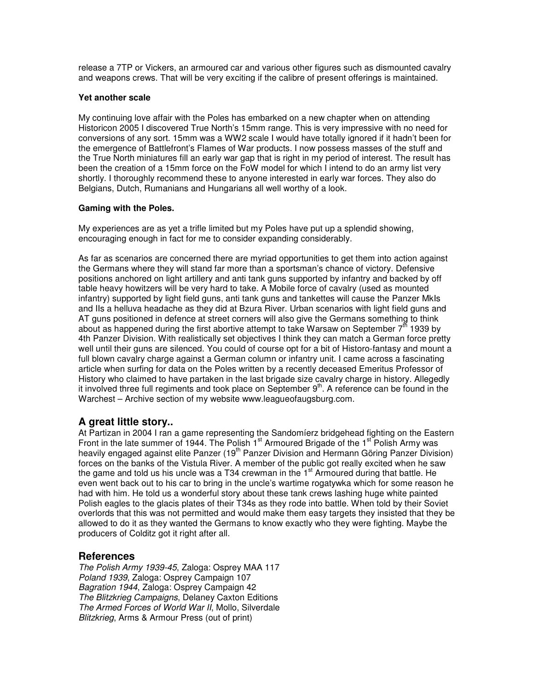release a 7TP or Vickers, an armoured car and various other figures such as dismounted cavalry and weapons crews. That will be very exciting if the calibre of present offerings is maintained.

#### **Yet another scale**

My continuing love affair with the Poles has embarked on a new chapter when on attending Historicon 2005 I discovered True North's 15mm range. This is very impressive with no need for conversions of any sort. 15mm was a WW2 scale I would have totally ignored if it hadn't been for the emergence of Battlefront's Flames of War products. I now possess masses of the stuff and the True North miniatures fill an early war gap that is right in my period of interest. The result has been the creation of a 15mm force on the FoW model for which I intend to do an army list very shortly. I thoroughly recommend these to anyone interested in early war forces. They also do Belgians, Dutch, Rumanians and Hungarians all well worthy of a look.

#### **Gaming with the Poles.**

My experiences are as yet a trifle limited but my Poles have put up a splendid showing, encouraging enough in fact for me to consider expanding considerably.

As far as scenarios are concerned there are myriad opportunities to get them into action against the Germans where they will stand far more than a sportsman's chance of victory. Defensive positions anchored on light artillery and anti tank guns supported by infantry and backed by off table heavy howitzers will be very hard to take. A Mobile force of cavalry (used as mounted infantry) supported by light field guns, anti tank guns and tankettes will cause the Panzer MkIs and IIs a helluva headache as they did at Bzura River. Urban scenarios with light field guns and AT guns positioned in defence at street corners will also give the Germans something to think about as happened during the first abortive attempt to take Warsaw on September 7<sup>th</sup> 1939 by 4th Panzer Division. With realistically set objectives I think they can match a German force pretty well until their guns are silenced. You could of course opt for a bit of Historo-fantasy and mount a full blown cavalry charge against a German column or infantry unit. I came across a fascinating article when surfing for data on the Poles written by a recently deceased Emeritus Professor of History who claimed to have partaken in the last brigade size cavalry charge in history. Allegedly it involved three full regiments and took place on September 9<sup>th</sup>. A reference can be found in the Warchest – Archive section of my website www.leagueofaugsburg.com.

# **A great little story..**

At Partizan in 2004 I ran a game representing the Sandomíerz bridgehead fighting on the Eastern Front in the late summer of 1944. The Polish 1<sup>st</sup> Armoured Brigade of the 1<sup>st</sup> Polish Army was heavily engaged against elite Panzer (19<sup>th</sup> Panzer Division and Hermann Göring Panzer Division) forces on the banks of the Vistula River. A member of the public got really excited when he saw the game and told us his uncle was a T34 crewman in the 1<sup>st</sup> Armoured during that battle. He even went back out to his car to bring in the uncle's wartime rogatywka which for some reason he had with him. He told us a wonderful story about these tank crews lashing huge white painted Polish eagles to the glacis plates of their T34s as they rode into battle. When told by their Soviet overlords that this was not permitted and would make them easy targets they insisted that they be allowed to do it as they wanted the Germans to know exactly who they were fighting. Maybe the producers of Colditz got it right after all.

# **References**

*The Polish Army 1939-45*, Zaloga: Osprey MAA 117 *Poland 1939*, Zaloga: Osprey Campaign 107 *Bagration 1944*, Zaloga: Osprey Campaign 42 *The Blitzkrieg Campaigns*, Delaney Caxton Editions *The Armed Forces of World War II*, Mollo, Silverdale *Blitzkrieg*, Arms & Armour Press (out of print)